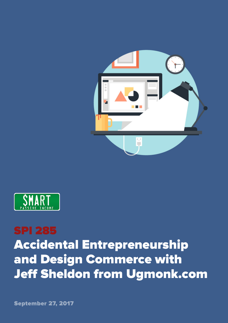



## SPI 285 Accidental Entrepreneurship and Design Commerce with Jeff Sheldon from Ugmonk.com

September 27, 2017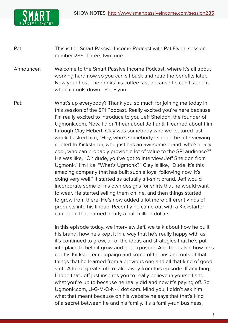

Pat: This is the Smart Passive Income Podcast with Pat Flynn, session number 285. Three, two, one.

Announcer: Welcome to the Smart Passive Income Podcast, where it's all about working hard now so you can sit back and reap the benefits later. Now your host—he drinks his coffee fast because he can't stand it when it cools down—Pat Flynn.

Pat: What's up everybody? Thank you so much for joining me today in this session of the SPI Podcast. Really excited you're here because I'm really excited to introduce to you Jeff Sheldon, the founder of Ugmonk.com. Now, I didn't hear about Jeff until I learned about him through Clay Hebert. Clay was somebody who we featured last week. I asked him, "Hey, who's somebody I should be interviewing related to Kickstarter, who just has an awesome brand, who's really cool, who can probably provide a lot of value to the SPI audience?" He was like, "Oh dude, you've got to interview Jeff Sheldon from Ugmonk." I'm like, "What's Ugmonk?" Clay is like, "Dude, it's this amazing company that has built such a loyal following now, it's doing very well." It started as actually a t-shirt brand. Jeff would incorporate some of his own designs for shirts that he would want to wear. He started selling them online, and then things started to grow from there. He's now added a lot more different kinds of products into his lineup. Recently he came out with a Kickstarter campaign that earned nearly a half million dollars.

> In this episode today, we interview Jeff, we talk about how he built his brand, how he's kept it in a way that he's really happy with as it's continued to grow, all of the ideas and strategies that he's put into place to help it grow and get exposure. And then also, how he's run his Kickstarter campaign and some of the ins and outs of that, things that he learned from a previous one and all that kind of good stuff. A lot of great stuff to take away from this episode. If anything, I hope that Jeff just inspires you to really believe in yourself and what you're up to because he really did and now it's paying off. So, Ugmonk.com, U-G-M-O-N-K dot com. Mind you, I didn't ask him what that meant because on his website he says that that's kind of a secret between he and his family. It's a family-run business,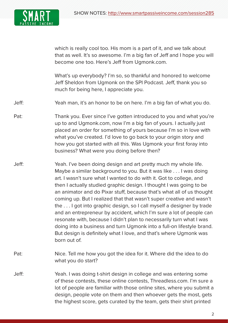

which is really cool too. His mom is a part of it, and we talk about that as well. It's so awesome. I'm a big fan of Jeff and I hope you will become one too. Here's Jeff from Ugmonk.com.

 What's up everybody? I'm so, so thankful and honored to welcome Jeff Sheldon from Ugmonk on the SPI Podcast. Jeff, thank you so much for being here, I appreciate you.

Jeff: Yeah man, it's an honor to be on here. I'm a big fan of what you do.

- Pat: Thank you. Ever since I've gotten introduced to you and what you're up to and Ugmonk.com, now I'm a big fan of yours. I actually just placed an order for something of yours because I'm so in love with what you've created. I'd love to go back to your origin story and how you got started with all this. Was Ugmonk your first foray into business? What were you doing before then?
- Jeff: Yeah. I've been doing design and art pretty much my whole life. Maybe a similar background to you. But it was like . . . I was doing art. I wasn't sure what I wanted to do with it. Got to college, and then I actually studied graphic design. I thought I was going to be an animator and do Pixar stuff, because that's what all of us thought coming up. But I realized that that wasn't super creative and wasn't the . . . I got into graphic design, so I call myself a designer by trade and an entrepreneur by accident, which I'm sure a lot of people can resonate with, because I didn't plan to necessarily turn what I was doing into a business and turn Ugmonk into a full-on lifestyle brand. But design is definitely what I love, and that's where Ugmonk was born out of.
- Pat: Nice. Tell me how you got the idea for it. Where did the idea to do what you do start?
- Jeff: Yeah. I was doing t-shirt design in college and was entering some of these contests, these online contests, Threadless.com. I'm sure a lot of people are familiar with those online sites, where you submit a design, people vote on them and then whoever gets the most, gets the highest score, gets curated by the team, gets their shirt printed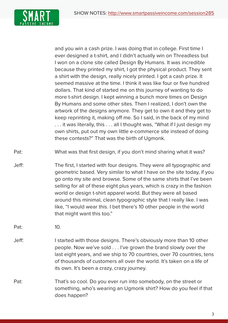

and you win a cash prize. I was doing that in college. First time I ever designed a t-shirt, and I didn't actually win on Threadless but I won on a clone site called Design By Humans. It was incredible because they printed my shirt, I got the physical product. They sent a shirt with the design, really nicely printed. I got a cash prize. It seemed massive at the time. I think it was like four or five hundred dollars. That kind of started me on this journey of wanting to do more t-shirt design. I kept winning a bunch more times on Design By Humans and some other sites. Then I realized, I don't own the artwork of the designs anymore. They get to own it and they get to keep reprinting it, making off me. So I said, in the back of my mind . . . it was literally, this . . . all I thought was, "What if I just design my own shirts, put out my own little e-commerce site instead of doing these contests?" That was the birth of Ugmonk.

Pat: What was that first design, if you don't mind sharing what it was?

Jeff: The first, I started with four designs. They were all typographic and geometric based. Very similar to what I have on the site today, if you go onto my site and browse. Some of the same shirts that I've been selling for all of these eight plus years, which is crazy in the fashion world or design t-shirt apparel world. But they were all based around this minimal, clean typographic style that I really like. I was like, "I would wear this. I bet there's 10 other people in the world that might want this too."

Pat: 10.

- Jeff: I started with those designs. There's obviously more than 10 other people. Now we've sold . . . I've grown the brand slowly over the last eight years, and we ship to 70 countries, over 70 countries, tens of thousands of customers all over the world. It's taken on a life of its own. It's been a crazy, crazy journey.
- Pat: That's so cool. Do you ever run into somebody, on the street or something, who's wearing an Ugmonk shirt? How do you feel if that does happen?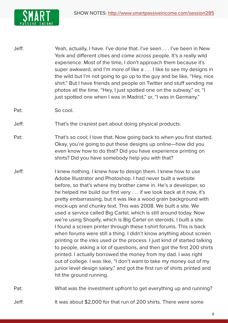

Jeff: Yeah, actually, I have. I've done that. I've seen . . . I've been in New York and different cities and come across people. It's a really wild experience. Most of the time, I don't approach them because it's super awkward, and I'm more of like a . . . I like to see my designs in the wild but I'm not going to go up to the guy and be like, "Hey, nice shirt." But I have friends and people on Twitter and stuff sending me photos all the time. "Hey, I just spotted one on the subway," or, "I just spotted one when I was in Madrid," or, "I was in Germany."

Pat: So cool.

Jeff: That's the craziest part about doing physical products.

- Pat: That's so cool; I love that. Now going back to when you first started. Okay, you're going to put these designs up online—how did you even know how to do that? Did you have experience printing on shirts? Did you have somebody help you with that?
- Jeff: I knew nothing. I knew how to design them. I knew how to use Adobe Illustrator and Photoshop. I had never built a website before, so that's where my brother came in. He's a developer, so he helped me build our first very . . . if we look back at it now, it's pretty embarrassing, but it was like a wood grain background with mock-ups and chunky text. This was 2008. We built a site. We used a service called Big Cartel, which is still around today. Now we're using Shopify, which is Big Cartel on steroids. I built a site. I found a screen printer through these t-shirt forums. This is back when forums were still a thing. I didn't know anything about screen printing or the inks used or the process. I just kind of started talking to people, asking a lot of questions, and then got the first 200 shirts printed. I actually borrowed the money from my dad. I was right out of college. I was like, "I don't want to take my money out of my junior level design salary," and got the first run of shirts printed and hit the ground running.

Pat: What was the investment upfront to get everything up and running?

Jeff: It was about \$2,000 for that run of 200 shirts. There were some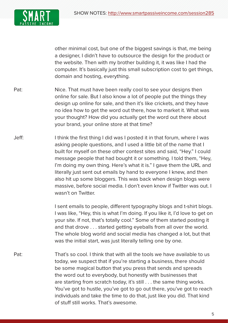

other minimal cost, but one of the biggest savings is that, me being a designer, I didn't have to outsource the design for the product or the website. Then with my brother building it, it was like I had the computer. It's basically just this small subscription cost to get things, domain and hosting, everything.

- Pat: Nice. That must have been really cool to see your designs then online for sale. But I also know a lot of people put the things they design up online for sale, and then it's like crickets, and they have no idea how to get the word out there, how to market it. What was your thought? How did you actually get the word out there about your brand, your online store at that time?
- Jeff: I think the first thing I did was I posted it in that forum, where I was asking people questions, and I used a little bit of the name that I built for myself on these other contest sites and said, "Hey." I could message people that had bought it or something. I told them, "Hey, I'm doing my own thing. Here's what it is." I gave them the URL and literally just sent out emails by hand to everyone I knew, and then also hit up some bloggers. This was back when design blogs were massive, before social media. I don't even know if Twitter was out. I wasn't on Twitter.

I sent emails to people, different typography blogs and t-shirt blogs. I was like, "Hey, this is what I'm doing. If you like it, I'd love to get on your site. If not, that's totally cool." Some of them started posting it and that drove . . . started getting eyeballs from all over the world. The whole blog world and social media has changed a lot, but that was the initial start, was just literally telling one by one.

Pat: That's so cool. I think that with all the tools we have available to us today, we suspect that if you're starting a business, there should be some magical button that you press that sends and spreads the word out to everybody, but honestly with businesses that are starting from scratch today, it's still . . . the same thing works. You've got to hustle, you've got to go out there, you've got to reach individuals and take the time to do that, just like you did. That kind of stuff still works. That's awesome.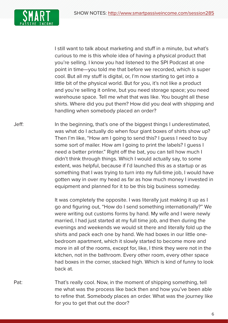

I still want to talk about marketing and stuff in a minute, but what's curious to me is this whole idea of having a physical product that you're selling. I know you had listened to the SPI Podcast at one point in time—you told me that before we recorded, which is super cool. But all my stuff is digital, or, I'm now starting to get into a little bit of the physical world. But for you, it's not like a product and you're selling it online, but you need storage space; you need warehouse space. Tell me what that was like. You bought all these shirts. Where did you put them? How did you deal with shipping and handling when somebody placed an order?

Jeff: In the beginning, that's one of the biggest things I underestimated, was what do I actually do when four giant boxes of shirts show up? Then I'm like, "How am I going to send this? I guess I need to buy some sort of mailer. How am I going to print the labels? I guess I need a better printer." Right off the bat, you can tell how much I didn't think through things. Which I would actually say, to some extent, was helpful, because if I'd launched this as a startup or as something that I was trying to turn into my full-time job, I would have gotten way in over my head as far as how much money I invested in equipment and planned for it to be this big business someday.

> It was completely the opposite. I was literally just making it up as I go and figuring out, "How do I send something internationally?" We were writing out customs forms by hand. My wife and I were newly married, I had just started at my full time job, and then during the evenings and weekends we would sit there and literally fold up the shirts and pack each one by hand. We had boxes in our little onebedroom apartment, which it slowly started to become more and more in all of the rooms, except for, like, I think they were not in the kitchen, not in the bathroom. Every other room, every other space had boxes in the corner, stacked high. Which is kind of funny to look back at.

Pat: That's really cool. Now, in the moment of shipping something, tell me what was the process like back then and how you've been able to refine that. Somebody places an order. What was the journey like for you to get that out the door?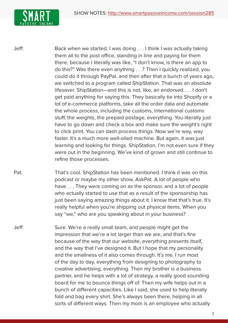

Jeff: Back when we started, I was doing . . . I think I was actually taking them all to the post office, standing in line and paying for them there, because I literally was like, "I don't know, is there an app to do this?" Was there even anything . . .? Then I quickly realized, you could do it through PayPal, and then after that a bunch of years ago, we switched to a program called ShipStation. That was an absolute lifesaver. ShipStation—and this is not, like, an endorsed . . . I don't get paid anything for saying this. They basically tie into Shopify or a lot of e-commerce platforms, take all the order data and automate the whole process, including the customs, international customs stuff, the weights, the prepaid postage, everything. You literally just have to go down and check a box and make sure the weight's right to click print. You can dash process things. Now we're way, way faster. It's a much more well-oiled machine. But again, it was just learning and looking for things. ShipStation, I'm not even sure if they were out in the beginning. We've kind of grown and still continue to refine those processes.

- Pat: That's cool. ShipStation has been mentioned. I think it was on this podcast or maybe my other show, AskPat. A lot of people who have ... They were coming on as the sponsor, and a lot of people who actually started to use that as a result of the sponsorship has just been saying amazing things about it. I know that that's true. It's really helpful when you're shipping out physical items. When you say "we," who are you speaking about in your business?
- Jeff: Sure. We're a really small team, and people might get the impression that we're a lot larger than we are, and that's fine because of the way that our website, everything presents itself, and the way that I've designed it. But I hope that my personality and the smallness of it also comes through. It's me. I run most of the day to day, everything from designing to photography to creative advertising, everything. Then my brother is a business partner, and he helps with a lot of strategy, a really good sounding board for me to bounce things off of. Then my wife helps out in a bunch of different capacities. Like I said, she used to help literally fold and bag every shirt. She's always been there, helping in all sorts of different ways. Then my mom is an employee who actually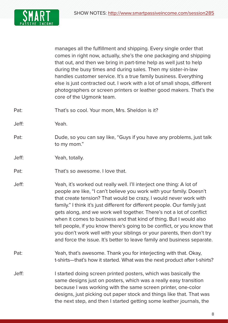

manages all the fulfillment and shipping. Every single order that comes in right now, actually, she's the one packaging and shipping that out, and then we bring in part-time help as well just to help during the busy times and during sales. Then my sister-in-law handles customer service. It's a true family business. Everything else is just contracted out. I work with a lot of small shops, different photographers or screen printers or leather good makers. That's the core of the Ugmonk team.

Pat: That's so cool. Your mom, Mrs. Sheldon is it?

Jeff: Yeah.

- Pat: Dude, so you can say like, "Guys if you have any problems, just talk to my mom."
- Jeff: Yeah, totally.
- Pat: That's so awesome. I love that.
- Jeff: Yeah, it's worked out really well. I'll interject one thing: A lot of people are like, "I can't believe you work with your family. Doesn't that create tension? That would be crazy, I would never work with family." I think it's just different for different people. Our family just gets along, and we work well together. There's not a lot of conflict when it comes to business and that kind of thing. But I would also tell people, if you know there's going to be conflict, or you know that you don't work well with your siblings or your parents, then don't try and force the issue. It's better to leave family and business separate.
- Pat: Yeah, that's awesome. Thank you for interjecting with that. Okay, t-shirts—that's how it started. What was the next product after t-shirts?
- Jeff: I started doing screen printed posters, which was basically the same designs just on posters, which was a really easy transition because I was working with the same screen printer, one-color designs, just picking out paper stock and things like that. That was the next step, and then I started getting some leather journals, the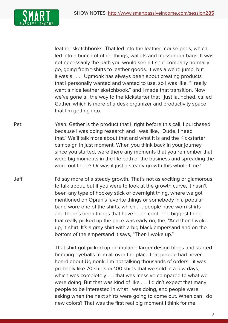

leather sketchbooks. That led into the leather mouse pads, which led into a bunch of other things, wallets and messenger bags. It was not necessarily the path you would see a t-shirt company normally go, going from t-shirts to leather goods. It was a weird jump, but it was all . . . Ugmonk has always been about creating products that I personally wanted and wanted to use, so I was like, "I really want a nice leather sketchbook," and I made that transition. Now we've gone all the way to the Kickstarter that I just launched, called Gather, which is more of a desk organizer and productivity space that I'm getting into.

Pat: Yeah. Gather is the product that I, right before this call, I purchased because I was doing research and I was like, "Dude, I need that." We'll talk more about that and what it is and the Kickstarter campaign in just moment. When you think back in your journey since you started, were there any moments that you remember that were big moments in the life path of the business and spreading the word out there? Or was it just a steady growth this whole time?

Jeff: I'd say more of a steady growth. That's not as exciting or glamorous to talk about, but if you were to look at the growth curve, it hasn't been any type of hockey stick or overnight thing, where we got mentioned on Oprah's favorite things or somebody in a popular band wore one of the shirts, which . . . people have worn shirts and there's been things that have been cool. The biggest thing that really picked up the pace was early on, the, "And then I woke up," t-shirt. It's a gray shirt with a big black ampersand and on the bottom of the ampersand it says, "Then I woke up."

> That shirt got picked up on multiple larger design blogs and started bringing eyeballs from all over the place that people had never heard about Ugmonk. I'm not talking thousands of orders—it was probably like 70 shirts or 100 shirts that we sold in a few days, which was completely . . . that was massive compared to what we were doing. But that was kind of like . . . I didn't expect that many people to be interested in what I was doing, and people were asking when the next shirts were going to come out. When can I do new colors? That was the first real big moment I think for me.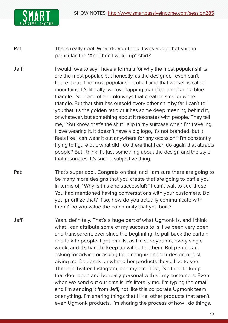

Pat: That's really cool. What do you think it was about that shirt in particular, the "And then I woke up" shirt?

- Jeff: I would love to say I have a formula for why the most popular shirts are the most popular, but honestly, as the designer, I even can't figure it out. The most popular shirt of all time that we sell is called mountains. It's literally two overlapping triangles, a red and a blue triangle. I've done other colorways that create a smaller white triangle. But that shirt has outsold every other shirt by far. I can't tell you that it's the golden ratio or it has some deep meaning behind it, or whatever, but something about it resonates with people. They tell me, "You know, that's the shirt I slip in my suitcase when I'm traveling. I love wearing it. It doesn't have a big logo, it's not branded, but it feels like I can wear it out anywhere for any occasion." I'm constantly trying to figure out, what did I do there that I can do again that attracts people? But I think it's just something about the design and the style that resonates. It's such a subjective thing.
- Pat: That's super cool. Congrats on that, and I am sure there are going to be many more designs that you create that are going to baffle you in terms of, "Why is this one successful?" I can't wait to see those. You had mentioned having conversations with your customers. Do you prioritize that? If so, how do you actually communicate with them? Do you value the community that you built?
- Jeff: Yeah, definitely. That's a huge part of what Ugmonk is, and I think what I can attribute some of my success to is, I've been very open and transparent, ever since the beginning, to pull back the curtain and talk to people. I get emails, as I'm sure you do, every single week, and it's hard to keep up with all of them. But people are asking for advice or asking for a critique on their design or just giving me feedback on what other products they'd like to see. Through Twitter, Instagram, and my email list, I've tried to keep that door open and be really personal with all my customers. Even when we send out our emails, it's literally me. I'm typing the email and I'm sending it from Jeff, not like this corporate Ugmonk team or anything. I'm sharing things that I like, other products that aren't even Ugmonk products. I'm sharing the process of how I do things.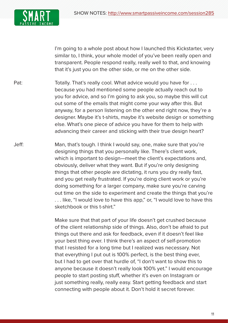

I'm going to a whole post about how I launched this Kickstarter, very similar to, I think, your whole model of you've been really open and transparent. People respond really, really well to that, and knowing that it's just you on the other side, or me on the other side.

- Pat: Totally. That's really cool. What advice would you have for ... because you had mentioned some people actually reach out to you for advice, and so I'm going to ask you, so maybe this will cut out some of the emails that might come your way after this. But anyway, for a person listening on the other end right now, they're a designer. Maybe it's t-shirts, maybe it's website design or something else. What's one piece of advice you have for them to help with advancing their career and sticking with their true design heart?
- Jeff: Man, that's tough. I think I would say, one, make sure that you're designing things that you personally like. There's client work, which is important to design—meet the client's expectations and, obviously, deliver what they want. But if you're only designing things that other people are dictating, it runs you dry really fast, and you get really frustrated. If you're doing client work or you're doing something for a larger company, make sure you're carving out time on the side to experiment and create the things that you're . . . like, "I would love to have this app," or, "I would love to have this sketchbook or this t-shirt."
	- Make sure that that part of your life doesn't get crushed because of the client relationship side of things. Also, don't be afraid to put things out there and ask for feedback, even if it doesn't feel like your best thing ever. I think there's an aspect of self-promotion that I resisted for a long time but I realized was necessary. Not that everything I put out is 100% perfect, is the best thing ever, but I had to get over that hurdle of, "I don't want to show this to anyone because it doesn't really look 100% yet." I would encourage people to start posting stuff, whether it's even on Instagram or just something really, really easy. Start getting feedback and start connecting with people about it. Don't hold it secret forever.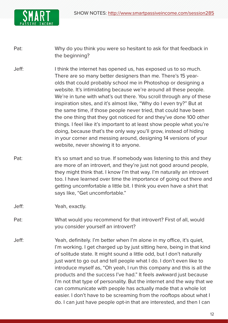

Pat: Why do you think you were so hesitant to ask for that feedback in the beginning?

- Jeff: I think the internet has opened us, has exposed us to so much. There are so many better designers than me. There's 15 yearolds that could probably school me in Photoshop or designing a website. It's intimidating because we're around all these people. We're in tune with what's out there. You scroll through any of these inspiration sites, and it's almost like, "Why do I even try?" But at the same time, if those people never tried, that could have been the one thing that they got noticed for and they've done 100 other things. I feel like it's important to at least show people what you're doing, because that's the only way you'll grow, instead of hiding in your corner and messing around, designing 14 versions of your website, never showing it to anyone.
- Pat: It's so smart and so true. If somebody was listening to this and they are more of an introvert, and they're just not good around people, they might think that. I know I'm that way. I'm naturally an introvert too. I have learned over time the importance of going out there and getting uncomfortable a little bit. I think you even have a shirt that says like, "Get uncomfortable."
- Jeff: Yeah, exactly.
- Pat: What would you recommend for that introvert? First of all, would you consider yourself an introvert?
- Jeff: Yeah, definitely. I'm better when I'm alone in my office, it's quiet, I'm working. I get charged up by just sitting here, being in that kind of solitude state. It might sound a little odd, but I don't naturally just want to go out and tell people what I do. I don't even like to introduce myself as, "Oh yeah, I run this company and this is all the products and the success I've had." It feels awkward just because I'm not that type of personality. But the internet and the way that we can communicate with people has actually made that a whole lot easier. I don't have to be screaming from the rooftops about what I do. I can just have people opt-in that are interested, and then I can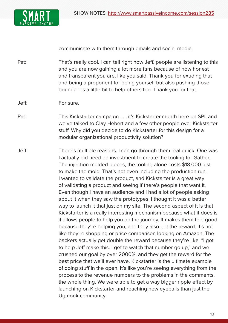

communicate with them through emails and social media.

Pat: That's really cool. I can tell right now Jeff, people are listening to this and you are now gaining a lot more fans because of how honest and transparent you are, like you said. Thank you for exuding that and being a proponent for being yourself but also pushing those boundaries a little bit to help others too. Thank you for that.

- Pat: This Kickstarter campaign . . . it's Kickstarter month here on SPI, and we've talked to Clay Hebert and a few other people over Kickstarter stuff. Why did you decide to do Kickstarter for this design for a modular organizational productivity solution?
- Jeff: There's multiple reasons. I can go through them real quick. One was I actually did need an investment to create the tooling for Gather. The injection molded pieces, the tooling alone costs \$18,000 just to make the mold. That's not even including the production run. I wanted to validate the product, and Kickstarter is a great way of validating a product and seeing if there's people that want it. Even though I have an audience and I had a lot of people asking about it when they saw the prototypes, I thought it was a better way to launch it that just on my site. The second aspect of it is that Kickstarter is a really interesting mechanism because what it does is it allows people to help you on the journey. It makes them feel good because they're helping you, and they also get the reward. It's not like they're shopping or price comparison looking on Amazon. The backers actually get double the reward because they're like, "I got to help Jeff make this. I get to watch that number go up," and we crushed our goal by over 2000%, and they get the reward for the best price that we'll ever have. Kickstarter is the ultimate example of doing stuff in the open. It's like you're seeing everything from the process to the revenue numbers to the problems in the comments, the whole thing. We were able to get a way bigger ripple effect by launching on Kickstarter and reaching new eyeballs than just the Ugmonk community.

Jeff: For sure.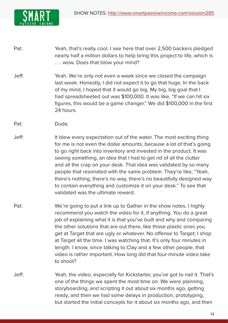

- Pat: Yeah, that's really cool. I see here that over 2,500 backers pledged nearly half a million dollars to help bring this project to life, which is . . . wow. Does that blow your mind?
- Jeff: Yeah. We're only not even a week since we closed the campaign last week. Honestly, I did not expect it to go that huge. In the back of my mind, I hoped that it would go big. My big, big goal that I had spreadsheeted out was \$100,000. It was like, "If we can hit six figures, this would be a game changer." We did \$100,000 in the first 24 hours.
- Pat: Dude.
- Jeff: It blew every expectation out of the water. The most exciting thing for me is not even the dollar amounts, because a lot of that's going to go right back into inventory and invested in the product. It was seeing something, an idea that I had to get rid of all the clutter and all the crap on your desk. That idea was validated by so many people that resonated with the same problem. They're like, "Yeah, there's nothing, there's no way, there's no beautifully designed way to contain everything and customize it on your desk." To see that validated was the ultimate reward.
- Pat: We're going to put a link up to Gather in the show notes. I highly recommend you watch the video for it, if anything. You do a great job of explaining what it is that you've built and why and comparing the other solutions that are out there, like those plastic ones you get at Target that are ugly or whatever. No offense to Target; I shop at Target all the time. I was watching that. It's only four minutes in length. I know, since talking to Clay and a few other people, that video is rather important. How long did that four-minute video take to shoot?
- Jeff: Yeah, the video, especially for Kickstarter, you've got to nail it. That's one of the things we spent the most time on. We were planning, storyboarding, and scripting it out about six months ago, getting ready, and then we had some delays in production, prototyping, but started the initial concepts for it about six months ago, and then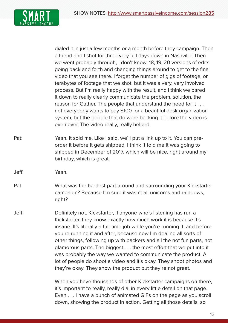

dialed it in just a few months or a month before they campaign. Then a friend and I shot for three very full days down in Nashville. Then we went probably through, I don't know, 18, 19, 20 versions of edits going back and forth and changing things around to get to the final video that you see there. I forget the number of gigs of footage, or terabytes of footage that we shot, but it was a very, very involved process. But I'm really happy with the result, and I think we pared it down to really clearly communicate the problem, solution, the reason for Gather. The people that understand the need for it . . . not everybody wants to pay \$100 for a beautiful desk organization system, but the people that do were backing it before the video is even over. The video really, really helped.

- Pat: Yeah. It sold me. Like I said, we'll put a link up to it. You can preorder it before it gets shipped. I think it told me it was going to shipped in December of 2017, which will be nice, right around my birthday, which is great.
- Jeff: Yeah.
- Pat: What was the hardest part around and surrounding your Kickstarter campaign? Because I'm sure it wasn't all unicorns and rainbows, right?
- Jeff: Definitely not. Kickstarter, if anyone who's listening has run a Kickstarter, they know exactly how much work it is because it's insane. It's literally a full-time job while you're running it, and before you're running it and after, because now I'm dealing all sorts of other things, following up with backers and all the not fun parts, not glamorous parts. The biggest . . . the most effort that we put into it was probably the way we wanted to communicate the product. A lot of people do shoot a video and it's okay. They shoot photos and they're okay. They show the product but they're not great.

 When you have thousands of other Kickstarter campaigns on there, it's important to really, really dial in every little detail on that page. Even . . . I have a bunch of animated GIFs on the page as you scroll down, showing the product in action. Getting all those details, so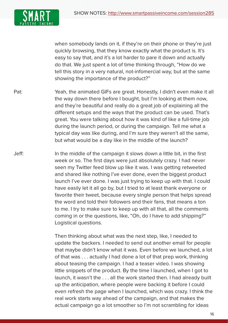

when somebody lands on it, if they're on their phone or they're just quickly browsing, that they know exactly what the product is. It's easy to say that, and it's a lot harder to pare it down and actually do that. We just spent a lot of time thinking through, "How do we tell this story in a very natural, not-infomercial way, but at the same showing the importance of the product?"

Pat: Yeah, the animated GIFs are great. Honestly, I didn't even make it all the way down there before I bought, but I'm looking at them now, and they're beautiful and really do a great job of explaining all the different setups and the ways that the product can be used. That's great. You were talking about how it was kind of like a full-time job during the launch period, or during the campaign. Tell me what a typical day was like during, and I'm sure they weren't all the same, but what would be a day like in the middle of the launch?

Jeff: In the middle of the campaign it slows down a little bit, in the first week or so. The first days were just absolutely crazy. I had never seen my Twitter feed blow up like it was. I was getting retweeted and shared like nothing I've ever done, even the biggest product launch I've ever done. I was just trying to keep up with that. I could have easily let it all go by, but I tried to at least thank everyone or favorite their tweet, because every single person that helps spread the word and told their followers and their fans, that means a ton to me. I try to make sure to keep up with all that, all the comments coming in or the questions, like, "Oh, do I have to add shipping?" Logistical questions.

> Then thinking about what was the next step, like, I needed to update the backers. I needed to send out another email for people that maybe didn't know what it was. Even before we launched, a lot of that was . . . actually I had done a lot of that prep work, thinking about teasing the campaign. I had a teaser video. I was showing little snippets of the product. By the time I launched, when I got to launch, it wasn't the . . . all the work started then. I had already built up the anticipation, where people were backing it before I could even refresh the page when I launched, which was crazy. I think the real work starts way ahead of the campaign, and that makes the actual campaign go a lot smoother so I'm not scrambling for ideas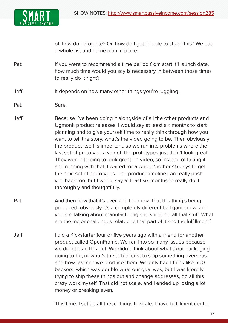

of, how do I promote? Or, how do I get people to share this? We had a whole list and game plan in place.

- Pat: If you were to recommend a time period from start 'til launch date, how much time would you say is necessary in between those times to really do it right?
- Jeff: It depends on how many other things you're juggling.
- Pat: Sure.
- Jeff: Because I've been doing it alongside of all the other products and Ugmonk product releases. I would say at least six months to start planning and to give yourself time to really think through how you want to tell the story, what's the video going to be. Then obviously the product itself is important, so we ran into problems where the last set of prototypes we got, the prototypes just didn't look great. They weren't going to look great on video, so instead of faking it and running with that, I waited for a whole 'nother 45 days to get the next set of prototypes. The product timeline can really push you back too, but I would say at least six months to really do it thoroughly and thoughtfully.
- Pat: And then now that it's over, and then now that this thing's being produced, obviously it's a completely different ball game now, and you are talking about manufacturing and shipping, all that stuff. What are the major challenges related to that part of it and the fulfillment?
- Jeff: I did a Kickstarter four or five years ago with a friend for another product called OpenFrame. We ran into so many issues because we didn't plan this out. We didn't think about what's our packaging going to be, or what's the actual cost to ship something overseas and how fast can we produce them. We only had I think like 500 backers, which was double what our goal was, but I was literally trying to ship these things out and change addresses, do all this crazy work myself. That did not scale, and I ended up losing a lot money or breaking even.

This time, I set up all these things to scale. I have fulfillment center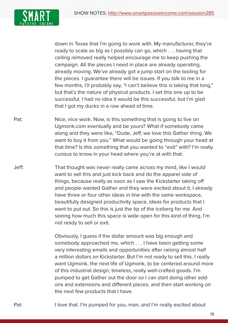

down in Texas that I'm going to work with. My manufacturer, they're ready to scale as big as I possibly can go, which . . . having that ceiling removed really helped encourage me to keep pushing the campaign. All the pieces I need in place are already operating, already moving. We've already got a jump start on the tooling for the pieces. I guarantee there will be issues. If you talk to me in a few months, I'll probably say, "I can't believe this is taking that long," but that's the nature of physical products. I set this one up to be successful. I had no idea it would be this successful, but I'm glad that I got my ducks in a row ahead of time.

- Pat: Nice, nice work. Now, is this something that is going to live on Ugmonk.com eventually and be yours? What if somebody came along and they were like, "Dude, Jeff, we love this Gather thing. We want to buy it from you." What would be going through your head at that time? Is this something that you wanted to "exit" with? I'm really curious to know in your head where you're at with that.
- Jeff: That thought was never really came across my mind, like I would want to sell this and just kick back and do the apparel side of things, because really as soon as I saw the Kickstarter taking off and people wanted Gather and they were excited about it, I already have three or four other ideas in line with the same workspace, beautifully designed productivity space, ideas for products that I want to put out. So this is just the tip of the iceberg for me. And seeing how much this space is wide open for this kind of thing, I'm not ready to sell or exit.

 Obviously, I guess if the dollar amount was big enough and somebody approached me, which . . . I have been getting some very interesting emails and opportunities after raising almost half a million dollars on Kickstarter. But I'm not ready to sell this. I really want Ugmonk, the next life of Ugmonk, to be centered around more of this industrial design, timeless, really well-crafted goods. I'm pumped to get Gather out the door so I can start doing other addons and extensions and different pieces, and then start working on the next few products that I have.

Pat: I love that. I'm pumped for you, man, and I'm really excited about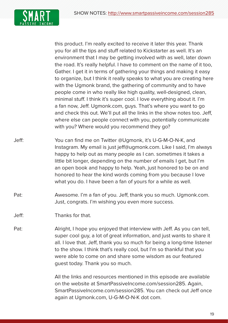

this product. I'm really excited to receive it later this year. Thank you for all the tips and stuff related to Kickstarter as well. It's an environment that I may be getting involved with as well, later down the road. It's really helpful. I have to comment on the name of it too, Gather. I get it in terms of gathering your things and making it easy to organize, but I think it really speaks to what you are creating here with the Ugmonk brand, the gathering of community and to have people come in who really like high quality, well-designed, clean, minimal stuff. I think it's super cool. I love everything about it. I'm a fan now, Jeff. Ugmonk.com, guys. That's where you want to go and check this out. We'll put all the links in the show notes too. Jeff, where else can people connect with you, potentially communicate with you? Where would you recommend they go?

- Jeff: You can find me on Twitter @Ugmonk, it's U-G-M-O-N-K, and Instagram. My email is just jeff@ugmonk.com. Like I said, I'm always happy to help out as many people as I can. sometimes it takes a little bit longer, depending on the number of emails I get, but I'm an open book and happy to help. Yeah, just honored to be on and honored to hear the kind words coming from you because I love what you do. I have been a fan of yours for a while as well.
- Pat: Awesome. I'm a fan of you. Jeff, thank you so much. Ugmonk.com. Just, congrats. I'm wishing you even more success.
- Jeff: Thanks for that.
- Pat: Alright, I hope you enjoyed that interview with Jeff. As you can tell, super cool guy, a lot of great information, and just wants to share it all. I love that. Jeff, thank you so much for being a long-time listener to the show. I think that's really cool, but I'm so thankful that you were able to come on and share some wisdom as our featured guest today. Thank you so much.

All the links and resources mentioned in this episode are available on the website at SmartPassiveIncome.com/session285. Again, SmartPassiveIncome.com/session285. You can check out Jeff once again at Ugmonk.com, U-G-M-O-N-K dot com.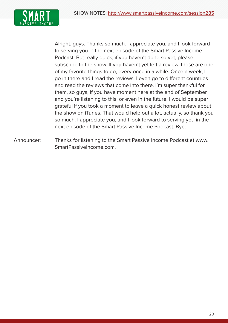

Alright, guys. Thanks so much. I appreciate you, and I look forward to serving you in the next episode of the Smart Passive Income Podcast. But really quick, if you haven't done so yet, please subscribe to the show. If you haven't yet left a review, those are one of my favorite things to do, every once in a while. Once a week, I go in there and I read the reviews. I even go to different countries and read the reviews that come into there. I'm super thankful for them, so guys, if you have moment here at the end of September and you're listening to this, or even in the future, I would be super grateful if you took a moment to leave a quick honest review about the show on iTunes. That would help out a lot, actually, so thank you so much. I appreciate you, and I look forward to serving you in the next episode of the Smart Passive Income Podcast. Bye.

Announcer: Thanks for listening to the Smart Passive Income Podcast at www. SmartPassiveIncome.com.